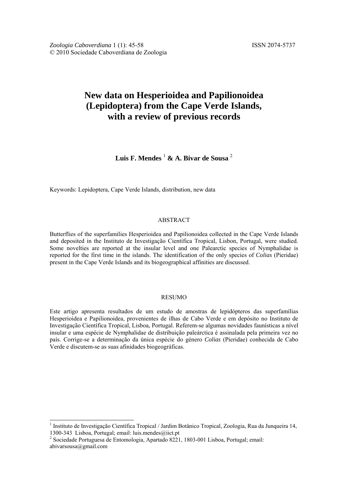*Zoologia Caboverdiana* 1 (1): 45-58 ISSN 2074-5737 © 2010 Sociedade Caboverdiana de Zoologia

# **New data on Hesperioidea and Papilionoidea (Lepidoptera) from the Cape Verde Islands, with a review of previous records**

**Luis F. Mendes** <sup>1</sup>  **& A. Bivar de Sousa** <sup>2</sup>

Keywords: Lepidoptera, Cape Verde Islands, distribution, new data

# ABSTRACT

Butterflies of the superfamilies Hesperioidea and Papilionoidea collected in the Cape Verde Islands and deposited in the Instituto de Investigação Científica Tropical, Lisbon, Portugal, were studied. Some novelties are reported at the insular level and one Palearctic species of Nymphalidae is reported for the first time in the islands. The identification of the only species of *Colias* (Pieridae) present in the Cape Verde Islands and its biogeographical affinities are discussed.

### RESUMO

Este artigo apresenta resultados de um estudo de amostras de lepidópteros das superfamílias Hesperioidea e Papilionoidea, provenientes de ilhas de Cabo Verde e em depósito no Instituto de Investigação Científica Tropical, Lisboa, Portugal. Referem-se algumas novidades faunísticas a nível insular e uma espécie de Nymphalidae de distribuição paleárctica é assinalada pela primeira vez no país. Corrige-se a determinação da única espécie do género *Colias* (Pieridae) conhecida de Cabo Verde e discutem-se as suas afinidades biogeográficas.

-

<sup>&</sup>lt;sup>1</sup> Instituto de Investigação Científica Tropical / Jardim Botânico Tropical, Zoologia, Rua da Junqueira 14, 1300-343 Lisboa, Portugal; email: luis.mendes@iict.pt

<sup>&</sup>lt;sup>2</sup> Sociedade Portuguesa de Entomologia, Apartado 8221, 1803-001 Lisboa, Portugal; email: abivarsousa@gmail.com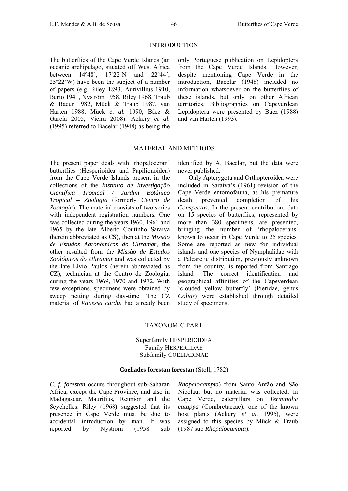#### INTRODUCTION

The butterflies of the Cape Verde Islands (an oceanic archipelago, situated off West Africa between 14º48´, 17º22´N and 22º44´, 25º22´W) have been the subject of a number of papers (e.g. Riley 1893, Aurivillius 1910, Berio 1941, Nyström 1958, Riley 1968, Traub & Baeur 1982, Mück & Traub 1987, van Harten 1988, Mück *et al.* 1990, Báez & García 2005, Vieira 2008). Ackery *et al.* (1995) referred to Bacelar (1948) as being the

only Portuguese publication on Lepidoptera from the Cape Verde Islands. However, despite mentioning Cape Verde in the introduction, Bacelar (1948) included no information whatsoever on the butterflies of these islands, but only on other African territories. Bibliographies on Capeverdean Lepidoptera were presented by Báez (1988) and van Harten (1993).

#### MATERIAL AND METHODS

The present paper deals with 'rhopaloceran' butterflies (Hesperioidea and Papilionoidea) from the Cape Verde Islands present in the collections of the *Instituto de Investigação Científica Tropical / Jardim Botânico Tropical – Zoologia* (formerly *Centro de Zoologia*). The material consists of two series with independent registration numbers. One was collected during the years 1960, 1961 and 1965 by the late Alberto Coutinho Saraiva (herein abbreviated as CS), then at the *Missão de Estudos Agronómicos do Ultramar*, the other resulted from the *Missão de Estudos Zoológicos do Ultramar* and was collected by the late Lívio Paulos (herein abbreviated as CZ), technician at the Centro de Zoologia, during the years 1969, 1970 and 1972. With few exceptions, specimens were obtained by sweep netting during day-time. The CZ material of *Vanessa cardui* had already been

identified by A. Bacelar, but the data were never published.

Only Apterygota and Orthopteroidea were included in Saraiva's (1961) revision of the Cape Verde entomofauna, as his premature death prevented completion of his *Conspectus*. In the present contribution, data on 15 species of butterflies, represented by more than 380 specimens, are presented, bringing the number of 'rhopalocerans' known to occur in Cape Verde to 25 species. Some are reported as new for individual islands and one species of Nymphalidae with a Palearctic distribution, previously unknown from the country, is reported from Santiago island. The correct identification and geographical affinities of the Capeverdean 'clouded yellow butterfly' (Pieridae, genus *Colias*) were established through detailed study of specimens.

#### TAXONOMIC PART

# Superfamily HESPERIOIDEA Family HESPERIIDAE Subfamily COELIADINAE

#### **Coeliades forestan forestan** (Stoll, 1782)

*C. f. forestan* occurs throughout sub-Saharan Africa, except the Cape Province, and also in Madagascar, Mauritius, Reunion and the Seychelles. Riley (1968) suggested that its presence in Cape Verde must be due to accidental introduction by man. It was reported by Nyström (1958 sub *Rhopalocampta*) from Santo Antão and São Nicolau, but no material was collected. In Cape Verde, caterpillars on *Terminalia catappa* (Combretaceae), one of the known host plants (Ackery *et al.* 1995), were assigned to this species by Mück & Traub (1987 sub *Rhopalocampta*).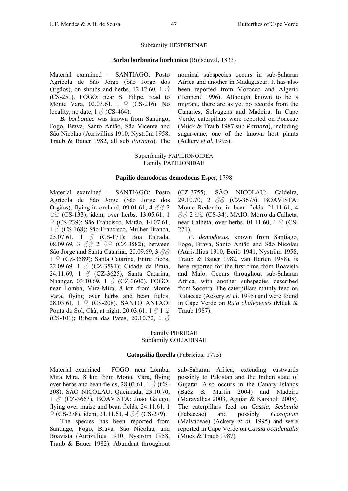#### Subfamily HESPERIINAE

#### **Borbo borbonica borbonica** (Boisduval, 1833)

Material examined – SANTIAGO: Posto Agrícola de São Jorge (São Jorge dos Orgãos), on shrubs and herbs, 12.12.60, 1  $\delta$ (CS-251). FOGO: near S. Filipe, road to Monte Vara, 02.03.61, 1 ♀ (CS-216). No locality, no date,  $1 \text{ } \textcircled{}$  (CS-464).

*B. borbonica* was known from Santiago, Fogo, Brava, Santo Antão, São Vicente and São Nicolau (Aurivillius 1910, Nyström 1958, Traub & Bauer 1982, all sub *Parnara*). The nominal subspecies occurs in sub-Saharan Africa and another in Madagascar. It has also been reported from Morocco and Algeria (Tennent 1996). Although known to be a migrant, there are as yet no records from the Canaries, Selvagens and Madeira. In Cape Verde, caterpillars were reported on Poaceae (Mück & Traub 1987 sub *Parnara*), including sugar-cane, one of the known host plants (Ackery *et al.* 1995).

Superfamily PAPILIONOIDEA Family PAPILIONIDAE

### **Papilio demodocus demodocus** Esper, 1798

Material examined – SANTIAGO: Posto Agrícola de São Jorge (São Jorge dos Orgãos), flying in orchard, 09.01.61, 4  $\Diamond$   $\Diamond$  2 ♀♀ (CS-133); idem, over herbs, 13.05.61, 1 ♀ (CS-239); São Francisco, Matão, 14.07.61, 1 <sup>3</sup> (CS-168); São Francisco, Mulher Branca, 25.07.61, 1  $\&$  (CS-171); Boa Entrada, 08.09.69, 3 ♂ 2 ♀♀ (CZ-3582); between São Jorge and Santa Catarina, 20.09.69, 3  $\Im$  $1 \nsubseteq (CZ-3589)$ ; Santa Catarina, Entre Picos, 22.09.69, 1  $\&$  (CZ-3591); Cidade da Praia, 24.11.69, 1  $\circ$  (CZ-3625); Santa Catarina, Nhangar, 03.10.69, 1 ♂ (CZ-3600). FOGO: near Lomba, Mira-Mira, 8 km from Monte Vara, flying over herbs and bean fields, 28.03.61, 1 ♀ (CS-208). SANTO ANTÃO: Ponta do Sol, Chã, at night, 20.03.61,  $1 \land 1 \circ$ (CS-101); Ribeira das Patas, 20.10.72, 1  $\circ$ 

(CZ-3755). SÃO NICOLAU: Caldeira, 29.10.70, 2 ♂♂ (CZ-3675). BOAVISTA: Monte Redondo, in bean fields, 21.11.61, 4  $\partial_0$  $\partial_2$  2  $\Omega$  (CS-34). MAIO: Morro da Calheta, near Calheta, over herbs, 01.11.60, 1  $\mathcal{Q}$  (CS-271).

*P. demodocus*, known from Santiago, Fogo, Brava, Santo Antão and São Nicolau (Aurivillius 1910, Berio 1941, Nyström 1958, Traub & Bauer 1982, van Harten 1988), is here reported for the first time from Boavista and Maio. Occurs throughout sub-Saharan Africa, with another subspecies described from Socotra. The caterpillars mainly feed on Rutaceae (Ackery *et al*. 1995) and were found in Cape Verde on *Ruta chalepensis* (Mück & Traub 1987).

## Family PIERIDAE Subfamily COLIADINAE

### **Catopsilia florella** (Fabricius, 1775)

Material examined – FOGO: near Lomba, Mira Mira, 8 km from Monte Vara, flying over herbs and bean fields, 28.03.61, 1  $\beta$  (CS-208). SÃO NICOLAU: Queimada, 23.10.70, 1 <sup>3</sup> (CZ-3663). BOAVISTA: João Galego, flying over maize and bean fields, 24.11.61, 1  $\varphi$  (CS-278); idem, 21.11.61, 4  $\partial \partial$  (CS-279).

The species has been reported from Santiago, Fogo, Brava, São Nicolau, and Boavista (Aurivillius 1910, Nyström 1958, Traub & Bauer 1982). Abundant throughout

sub-Saharan Africa, extending eastwards possibly to Pakistan and the Indian state of Gujarat. Also occurs in the Canary Islands (Baéz & Martín 2004) and Madeira (Maravalhas 2003, Aguiar & Karsholt 2008). The caterpillars feed on *Cassia*, *Sesbania* (Fabaceae) and possibly *Gossipium* (Malvaceae) (Ackery *et al.* 1995) and were reported in Cape Verde on *Cassia occidentalis* (Mück & Traub 1987).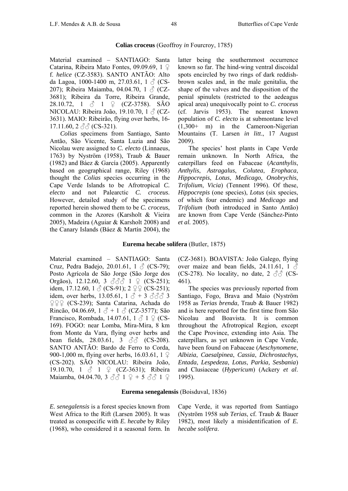# **Colias croceus** (Geoffroy *in* Fourcroy, 1785)

Material examined – SANTIAGO: Santa Catarina, Ribeira Mato Fontes, 09.09.69, 1 ♀ f. *helice* (CZ-3583). SANTO ANTÃO: Alto da Lagoa, 1000-1400 m, 27.03.61, 1  $\circled{C}$  (CS-207); Ribeira Maiamba, 04.04.70, 1  $\triangle$  (CZ-3681); Ribeira da Torre, Ribeira Grande, 28.10.72, 1  $\&$  1  $\&$  (CZ-3758). SÃO NICOLAU: Ribeira João, 19.10.70, 1 ♂ (CZ-3631). MAIO: Ribeirão, flying over herbs, 16- 17.11.60,  $2 \text{ } \textcircled{c} \textcirc \textcircled{c}$  (CS-321).

*Colias* specimens from Santiago, Santo Antão, São Vicente, Santa Luzia and São Nicolau were assigned to *C. electo* (Linnaeus, 1763) by Nyström (1958), Traub & Bauer (1982) and Báez & García (2005). Apparently based on geographical range, Riley (1968) thought the *Colias* species occurring in the Cape Verde Islands to be Afrotropical *C. electo* and not Palearctic *C. croceus*. However, detailed study of the specimens reported herein showed them to be *C. croceus*, common in the Azores (Karsholt & Vieira 2005), Madeira (Aguiar & Karsholt 2008) and the Canary Islands (Báez & Martín 2004), the

latter being the southernmost occurrence known so far. The hind-wing ventral discoidal spots encircled by two rings of dark reddishbrown scales and, in the male genitalia, the shape of the valves and the disposition of the penial spinulets (restricted to the aedeagus apical area) unequivocally point to *C. croceus*  (cf. Jarvis 1953). The nearest known population of *C. electo* is at submontane level (1,300+ m) in the Cameroon-Nigerian Mountains (T. Larsen *in litt*., 17 August 2009).

The species' host plants in Cape Verde remain unknown. In North Africa, the caterpillars feed on Fabaceae (*Acanthylis*, *Anthylis*, *Astragalus*, *Colutea*, *Erophaca*, *Hippocrepis*, *Lotus*, *Medicago*, *Onobrychis*, *Trifolium*, *Vicia*) (Tennent 1996). Of these, *Hippocrepis (one species), Lotus (six species,* of which four endemic) and *Medicago* and *Trifolium* (both introduced in Santo Antão) are known from Cape Verde (Sánchez-Pinto *et al.* 2005).

#### **Eurema hecabe solifera** (Butler, 1875)

Material examined – SANTIAGO: Santa Cruz, Pedra Badejo, 20.01.61,  $1 \land (CS-79)$ ; Posto Agrícola de São Jorge (São Jorge dos Orgãos), 12.12.60, 3 ♂♂ 1 ♀ (CS-251); idem, 17.12.60, 1  $\circ$  (CS-91); 2  $\circ$  (CS-251); idem, over herbs, 13.05.61,  $1 \hat{d} + 3 \hat{d} \hat{d} \hat{d}$  3 ♀♀♀ (CS-239); Santa Catarina, Achada do Rincão, 04.06.69, 1  $\delta$  + 1  $\delta$  (CZ-3577); São Francisco, Rombada, 14.07.61,  $1 \circ 1 \circ 1$  (CS-169). FOGO: near Lomba, Mira-Mira, 8 km from Monte da Vara, flying over herbs and bean fields,  $28.03.61$ ,  $3 \text{ } \textcircled{3} \textcircled{3}$  (CS-208). SANTO ANTÃO: Bardo de Ferro to Corda, 900-1,000 m, flying over herbs, 16.03.61, 1 ♀ (CS-202). SÃO NICOLAU: Ribeira João, 19.10.70, 1 ♂ 1 ♀ (CZ-3631); Ribeira Maiamba, 04.04.70, 3  $\Im \Im$  1  $\Im$  + 5  $\Im \Im$  1  $\Im$ 

(CZ-3681). BOAVISTA: João Galego, flying over maize and bean fields, 24.11.61, 1  $\delta$ (CS-278). No locality, no date,  $2 \angle \angle \angle \angle$  (CS-461).

The species was previously reported from Santiago, Fogo, Brava and Maio (Nyström 1958 as *Terias brenda*, Traub & Bauer 1982) and is here reported for the first time from São Nicolau and Boavista. It is common throughout the Afrotropical Region, except the Cape Province, extending into Asia. The caterpillars, as yet unknown in Cape Verde, have been found on Fabaceae (*Aeschynomene*, *Albizia*, *Caesalpinea*, *Cassia*, *Dichrostachys*, *Entada*, *Lespedeza*, *Lotus*, *Parkia, Sesbania*) and Clusiaceae (*Hypericum*) (Ackery *et al*. 1995).

#### **Eurema senegalensis** (Boisduval, 1836)

*E. senegalensis* is a forest species known from West Africa to the Rift (Larsen 2005). It was treated as conspecific with *E. hecabe* by Riley (1968), who considered it a seasonal form. In

Cape Verde, it was reported from Santiago (Nyström 1958 sub *Terias*, cf. Traub & Bauer 1982), most likely a misidentification of *E. hecabe solifera*.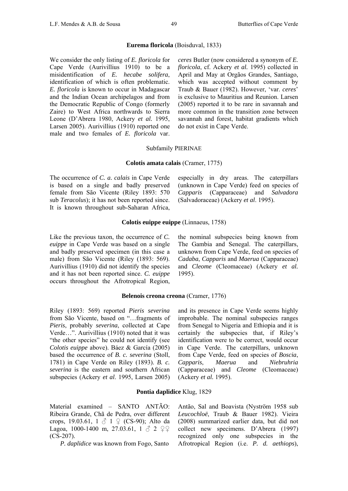#### **Eurema floricola** (Boisduval, 1833)

We consider the only listing of *E. floricola* for Cape Verde (Aurivillius 1910) to be a misidentification of *E. hecabe solifera*, identification of which is often problematic. *E. floricola* is known to occur in Madagascar and the Indian Ocean archipelagos and from the Democratic Republic of Congo (formerly Zaire) to West Africa northwards to Sierra Leone (D'Abrera 1980, Ackery *et al.* 1995, Larsen 2005). Aurivillius (1910) reported one male and two females of *E. floricola* var.

*ceres* Butler (now considered a synonym of *E. floricola*, cf. Ackery *et al.* 1995) collected in April and May at Orgãos Grandes, Santiago, which was accepted without comment by Traub & Bauer (1982). However, 'var. *ceres*' is exclusive to Mauritius and Reunion. Larsen (2005) reported it to be rare in savannah and more common in the transition zone between savannah and forest, habitat gradients which do not exist in Cape Verde.

#### Subfamily PIERINAE

#### **Colotis amata calais** (Cramer, 1775)

The occurrence of *C. a. calais* in Cape Verde is based on a single and badly preserved female from São Vicente (Riley 1893: 570 sub *Teracolus*); it has not been reported since. It is known throughout sub-Saharan Africa,

especially in dry areas. The caterpillars (unknown in Cape Verde) feed on species of *Capparis* (Capparaceae) and *Salvadora* (Salvadoraceae) (Ackery *et al*. 1995).

#### **Colotis euippe euippe** (Linnaeus, 1758)

Like the previous taxon, the occurrence of *C. euippe* in Cape Verde was based on a single and badly preserved specimen (in this case a male) from São Vicente (Riley (1893: 569). Aurivillius (1910) did not identify the species and it has not been reported since. *C. euippe* occurs throughout the Afrotropical Region,

the nominal subspecies being known from The Gambia and Senegal. The caterpillars, unknown from Cape Verde, feed on species of *Cadaba*, *Capparis* and *Maerua* (Capparaceae) and *Cleome* (Cleomaceae) (Ackery *et al.* 1995).

#### **Belenois creona creona** (Cramer, 1776)

Riley (1893: 569) reported *Pieris severina* from São Vicente, based on "…fragments of *Pieris*, probably *severina*, collected at Cape Verde…". Aurivillius (1910) noted that it was "the other species" he could not identify (see *Colotis euippe* above). Báez & García (2005) based the occurrence of *B. c. severina* (Stoll, 1781) in Cape Verde on Riley (1893). *B. c. severina* is the eastern and southern African subspecies (Ackery *et al*. 1995, Larsen 2005)

and its presence in Cape Verde seems highly improbable. The nominal subspecies ranges from Senegal to Nigeria and Ethiopia and it is certainly the subspecies that, if Riley's identification were to be correct, would occur in Cape Verde. The caterpillars, unknown from Cape Verde, feed on species of *Boscia*, *Capparis*, *Maerua* and *Niebruhria* (Capparaceae) and *Cleome* (Cleomaceae) (Ackery *et al.* 1995).

# **Pontia daplidice** Klug, 1829

Material examined – SANTO ANTÃO: Ribeira Grande, Chã de Pedra, over different crops, 19.03.61, 1  $\circ$  1  $\circ$  (CS-90); Alto da Lagoa, 1000-1400 m, 27.03.61, 1  $\&$  2  $99$ (CS-207).

*P. daplidice* was known from Fogo, Santo

Antão, Sal and Boavista (Nyström 1958 sub *Leucochloë*, Traub & Bauer 1982). Vieira (2008) summarized earlier data, but did not collect new specimens. D'Abrera (1997) recognized only one subspecies in the Afrotropical Region (i.e. *P. d. aethiops*),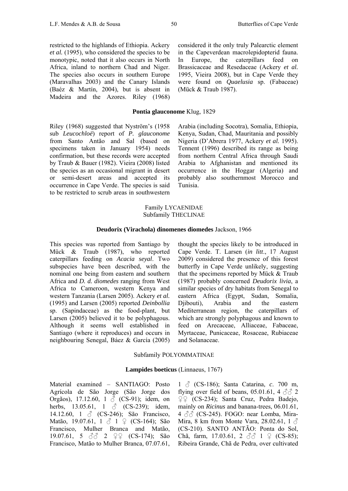restricted to the highlands of Ethiopia. Ackery *et al.* (1995), who considered the species to be monotypic, noted that it also occurs in North Africa, inland to northern Chad and Niger. The species also occurs in southern Europe (Maravalhas 2003) and the Canary Islands (Baéz & Martín, 2004), but is absent in Madeira and the Azores. Riley (1968)

# **Pontia glauconome** Klug, 1829

(Mück & Traub 1987).

Riley (1968) suggested that Nyström's (1958 sub *Leucochloë*) report of *P. glauconome* from Santo Antão and Sal (based on specimens taken in January 1954) needs confirmation, but these records were accepted by Traub & Bauer (1982). Vieira (2008) listed the species as an occasional migrant in desert or semi-desert areas and accepted its occurrence in Cape Verde. The species is said to be restricted to scrub areas in southwestern

Arabia (including Socotra), Somalia, Ethiopia, Kenya, Sudan, Chad, Mauritania and possibly Nigeria (D'Abrera 1977, Ackery *et al.* 1995). Tennent (1996) described its range as being from northern Central Africa through Saudi Arabia to Afghanistan and mentioned its occurrence in the Hoggar (Algeria) and probably also southernmost Morocco and Tunisia.

considered it the only truly Palearctic element in the Capeverdean macrolepidopterid fauna. In Europe, the caterpillars feed on Brassicaceae and Resedaceae (Ackery *et al.* 1995, Vieira 2008), but in Cape Verde they were found on *Quaelusia* sp. (Fabaceae)

### Family LYCAENIDAE Subfamily THECLINAE

#### **Deudorix (Virachola) dinomenes diomedes** Jackson, 1966

This species was reported from Santiago by Mück & Traub (1987), who reported caterpillars feeding on *Acacia seyal*. Two subspecies have been described, with the nominal one being from eastern and southern Africa and *D. d. diomedes* ranging from West Africa to Cameroon, western Kenya and western Tanzania (Larsen 2005). Ackery *et al.* (1995) and Larsen (2005) reported *Deinbollia* sp. (Sapindaceae) as the food-plant, but Larsen (2005) believed it to be polyphagous. Although it seems well established in Santiago (where it reproduces) and occurs in neighbouring Senegal, Báez & García (2005)

thought the species likely to be introduced in Cape Verde. T. Larsen (*in litt*., 17 August 2009) considered the presence of this forest butterfly in Cape Verde unlikely, suggesting that the specimens reported by Mück & Traub (1987) probably concerned *Deudorix livia*, a similar species of dry habitats from Senegal to eastern Africa (Egypt, Sudan, Somalia, Djibouti), Arabia and the eastern Mediterranean region, the caterpillars of which are strongly polyphagous and known to feed on Arecaceae, Alliaceae, Fabaceae, Myrtaceae, Punicaceae, Rosaceae, Rubiaceae and Solanaceae.

#### Subfamily POLYOMMATINAE

#### **Lampides boeticus** (Linnaeus, 1767)

Material examined – SANTIAGO: Posto Agrícola de São Jorge (São Jorge dos Orgãos), 17.12.60, 1  $\bar{C}$  (CS-91); idem, on herbs, 13.05.61, 1  $\delta$  (CS-239); idem, 14.12.60, 1  $\delta$  (CS-246); São Francisco, Matão, 19.07.61, 1 ♂ 1 ♀ (CS-164); São Francisco, Mulher Branca and Matão, 19.07.61, 5 ♂ 2 ♀♀ (CS-174); São Francisco, Matão to Mulher Branca, 07.07.61,

1 ♂ (CS-186); Santa Catarina, *c*. 700 m, flying over field of beans, 05.01.61, 4  $\sqrt{3}$  2 ♀♀ (CS-234); Santa Cruz, Pedra Badejo, mainly on *Ricinus* and banana-trees, 06.01.61,  $4 \text{ } \partial/\partial \partial$  (CS-245). FOGO: near Lomba, Mira-Mira, 8 km from Monte Vara, 28.02.61, 1  $\delta$ (CS-210). SANTO ANTÃO: Ponta do Sol, Chã, farm, 17.03.61, 2  $\sqrt[3]{3}$  1  $\sqrt{2}$  (CS-85); Ribeira Grande, Chã de Pedra, over cultivated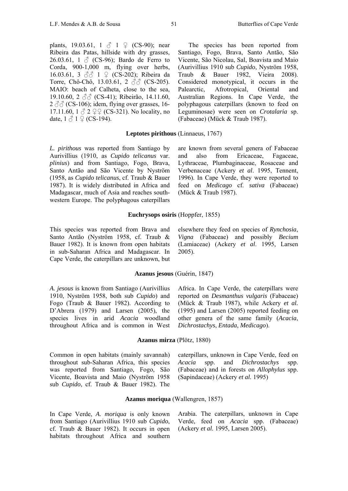plants, 19.03.61, 1  $\&$  1  $\&$  (CS-90); near Ribeira das Patas, hillside with dry grasses, 26.03.61,  $1 \text{ } \textcircled{}$  (CS-96); Bardo de Ferro to Corda, 900-1,000 m, flying over herbs, 16.03.61, 3 3 ∂ 1 ♀ (CS-202); Ribeira da Torre, Chô-Chô, 13.03.61, 2 33 (CS-205). MAIO: beach of Calheta, close to the sea, 19.10.60, 2 ♂♂ (CS-41); Ribeirão, 14.11.60,  $2 \text{ }\partial\phi$  (CS-106); idem, flying over grasses, 16-17.11.60,  $1 \circ 2 \circ 2 \circ (CS-321)$ . No locality, no date,  $1 \land 1 \circ (CS-194)$ .

# **Leptotes pirithous** (Linnaeus, 1767)

*L. pirithous* was reported from Santiago by Aurivillius (1910, as *Cupido telicanus* var. *plinius*) and from Santiago, Fogo, Brava, Santo Antão and São Vicente by Nyström (1958, as *Cupido telicanus*, cf. Traub & Bauer 1987). It is widely distributed in Africa and Madagascar, much of Asia and reaches southwestern Europe. The polyphagous caterpillars

This species was reported from Brava and Santo Antão (Nyström 1958, cf. Traub & Bauer 1982). It is known from open habitats in sub-Saharan Africa and Madagascar. In Cape Verde, the caterpillars are unknown, but

elsewhere they feed on species of *Rynchosia*, *Vigna* (Fabaceae) and possibly *Becium* (Lamiaceae) (Ackery *et al*. 1995, Larsen 2005).

### **Azanus jesous** (Guérin, 1847)

*A. jesous* is known from Santiago (Aurivillius 1910, Nyström 1958, both sub *Cupido*) and Fogo (Traub & Bauer 1982). According to D'Abrera (1979) and Larsen (2005), the species lives in arid *Acacia* woodland throughout Africa and is common in West

Africa. In Cape Verde, the caterpillars were reported on *Desmanthus vulgaris* (Fabaceae) (Mück & Traub 1987), while Ackery *et al.* (1995) and Larsen (2005) reported feeding on other genera of the same family (*Acacia*, *Dichrostachys*, *Entada*, *Medicago*).

#### **Azanus mirza** (Plötz, 1880)

Common in open habitats (mainly savannah) throughout sub-Saharan Africa, this species was reported from Santiago, Fogo, São Vicente, Boavista and Maio (Nyström 1958 sub *Cupido*, cf. Traub & Bauer 1982). The

caterpillars, unknown in Cape Verde, feed on *Acacia* spp. and *Dichrostachys* spp. (Fabaceae) and in forests on *Allophylus* spp. (Sapindaceae) (Ackery *et al.* 1995)

#### **Azanus moriqua** (Wallengren, 1857)

In Cape Verde, *A. moriqua* is only known from Santiago (Aurivillius 1910 sub *Cupido*, cf. Traub & Bauer 1982). It occurs in open habitats throughout Africa and southern

Arabia. The caterpillars, unknown in Cape Verde, feed on *Acacia* spp. (Fabaceae) (Ackery *et al.* 1995, Larsen 2005).

The species has been reported from Santiago, Fogo, Brava, Santo Antão, São Vicente, São Nicolau, Sal, Boavista and Maio (Aurivillius 1910 sub *Cupido*, Nyström 1958, Traub & Bauer 1982, Vieira 2008). Considered monotypical, it occurs in the Palearctic, Afrotropical, Oriental and

Australian Regions. In Cape Verde, the polyphagous caterpillars (known to feed on Leguminosae) were seen on *Crotalaria* sp.

(Fabaceae) (Mück & Traub 1987).

are known from several genera of Fabaceae and also from Ericaceae, Fagaceae, Lythraceae, Plumbaginaceae, Rosaceae and Verbenaceae (Ackery *et al*. 1995, Tennent, 1996). In Cape Verde, they were reported to feed on *Medicago* cf. *sativa* (Fabaceae) (Mück & Traub 1987).

# **Euchrysops osiris** (Hoppfer, 1855)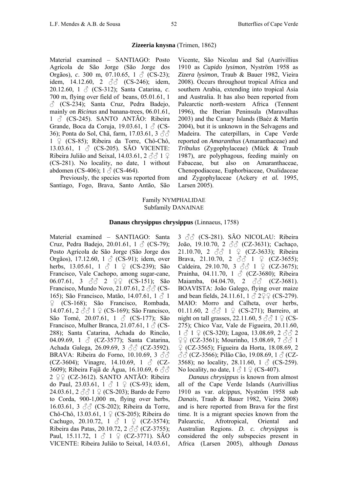# **Zizeeria knysna** (Trimen, 1862)

Material examined – SANTIAGO: Posto Agrícola de São Jorge (São Jorge dos Orgãos), *c*. 300 m, 07.10.65, 1  $\circ$  (CS-23); idem, 14.12.60, 2 ♂ (CS-246); idem, 20.12.60, 1 ♂ (CS-312); Santa Catarina, *c*. 700 m, flying over field of beans, 05.01.61, 1  $\circ$  (CS-234); Santa Cruz, Pedra Badejo, mainly on *Ricinus* and banana-trees, 06.01.61,  $1 \text{ } \textcircled{}$  (CS-245). SANTO ANTÃO: Ribeira Grande, Boca da Coruja, 19.03.61, 1  $\beta$  (CS-36); Ponta do Sol, Chã, farm, 17.03.61, 3 ♂♂ 1 ♀ (CS-85); Ribeira da Torre, Chô-Chô, 13.03.61, 1  $\circled{c}$  (CS-205). SÃO VICENTE: Ribeira Julião and Seixal, 14.03.61, 2  $\Im$  1  $\Im$ (CS-281). No locality, no date, 1 without abdomen (CS-406);  $1 \text{ } \textcircled{}$  (CS-464).

Previously, the species was reported from Santiago, Fogo, Brava, Santo Antão, São

Vicente, São Nicolau and Sal (Aurivillius 1910 as *Cupido lysimon*, Nyström 1958 as *Zizera lysimon*, Traub & Bauer 1982, Vieira 2008). Occurs throughout tropical Africa and southern Arabia, extending into tropical Asia and Australia. It has also been reported from Palearctic north-western Africa (Tennent 1996), the Iberian Peninsula (Maravalhas 2003) and the Canary Islands (Baéz & Martín 2004), but it is unknown in the Selvagens and Madeira. The caterpillars, in Cape Verde reported on *Amaranthus* (Amaranthaceae) and *Tribulus* (Zygophylaceae) (Mück & Traub 1987), are polyphagous, feeding mainly on Fabaceae, but also on Amaranthaceae, Chenopodiaceae, Euphorbiaceae, Oxalidaceae and Zygophylaceae (Ackery *et al.* 1995, Larsen 2005).

### Family NYMPHALIDAE Subfamily DANAINAE

### **Danaus chrysippus chrysippus** (Linnaeus, 1758)

Material examined – SANTIAGO: Santa Cruz, Pedra Badejo, 20.01.61,  $1 \text{ } \textcircled{}$  (CS-79); Posto Agrícola de São Jorge (São Jorge dos Orgãos), 17.12.60, 1 ♂ (CS-91); idem, over herbs, 13.05.61, 1  $\uparrow$  1  $\uparrow$  (CS-239); São Francisco, Vale Cachopo, among sugar-cane, 06.07.61, 3 ♂ 2 ♀♀ (CS-151); São Francisco, Mundo Novo, 21.07.61, 2  $\Im$  CS-165); São Francisco, Matão, 14.07.61, 1  $\beta$  1 ♀ (CS-168); São Francisco, Rombada, 14.07.61, 2 ♂♂ 1 ♀ (CS-169); São Francisco, São Tomé, 20.07.61, 1 ♂ (CS-177); São Francisco, Mulher Branca, 21.07.61, 1  $\beta$  (CS-288); Santa Catarina, Achada do Rincão, 04.09.69, 1  $\circ$  (CZ-3577); Santa Catarina, Achada Galega, 26.09.69, 3 ♂ (CZ-3592). BRAVA: Ribeira do Forno, 10.10.69, 3  $\Im$ (CZ-3604); Vinagre, 14.10.69, 1  $\delta$  (CZ-3609); Ribeira Fajã de Água, 16.10.69, 6 $\Im$ 2 ♀♀ (CZ-3612). SANTO ANTÃO: Ribeira do Paul, 23.03.61,  $1 \circ 1 \circ (CS-93)$ ; idem, 24.03.61,  $2 \text{ } \textcircled{3}$  1  $\textcircled{2}$  (CS-203); Bardo de Ferro to Corda, 900-1,000 m, flying over herbs, 16.03.61, 3 33 (CS-202); Ribeira da Torre, Chô-Chô, 13.03.61, 1 ♀ (CS-205); Ribeira do Cachugo, 20.10.72, 1  $\&$  1  $\&$  (CZ-3574); Ribeira das Patas, 20.10.72, 2  $\Im$  (CZ-3755); Paul, 15.11.72, 1 ♂ 1 ♀ (CZ-3771). SÃO VICENTE: Ribeira Julião to Seixal, 14.03.61,

3 ♂♂ (CS-281). SÃO NICOLAU: Ribeira João, 19.10.70, 2 ♂♂ (CZ-3631); Cachaço, 21.10.70, 2  $\Im$  1  $\Im$  (CZ-3633); Ribeira Brava, 21.10.70, 2  $\Im$  1  $\Im$  (CZ-3655); Caldeira, 29.10.70, 3  $\Im$  1  $\Im$  (CZ-3675); Prainha, 04.11.70, 1 ♂ (CZ-3680); Ribeira Maiamba, 04.04.70, 2  $\Im$  (CZ-3681). BOAVISTA: João Galego, flying over maize and bean fields, 24.11.61,  $1 \land 222$  (CS-279). MAIO: Morro and Calheta, over herbs, 01.11.60, 2  $\Im$  1  $\Im$  (CS-271); Barreiro, at night on tall grasses, 22.11.60,  $5 \text{ } \textcircled{3} 1 \text{ } \textcircled{1}$  (CS-275); Chico Vaz, Vale de Figueira, 20.11.60,  $1 \text{ } \textcircled{} 1 \text{ } \textcircled{} 1 \text{ } (\text{CS-320})$ ; Lagoa, 13.08.69, 2  $\textcircled{} 3 \textcircled{} 2$  $QQ$  (CZ-3561); Mourinho, 15.08.69, 7  $\partial Q$  1 ♀ (CZ-3565); Figueira da Horta, 18.08.69, 2  $\beta$   $\beta$  (CZ-3566); Pilão Cão, 19.08.69, 1  $\beta$  (CZ-3568); no locality, 28.11.60, 1  $\delta$  (CS-259). No locality, no date,  $1 \land 1 \circ (CS-407)$ .

*Danaus chrysippus* is known from almost all of the Cape Verde Islands (Aurivillius 1910 as var. *alcippus*, Nyström 1958 sub *Danais*, Traub & Bauer 1982, Vieira 2008) and is here reported from Brava for the first time. It is a migrant species known from the Palearctic, Afrotropical, Oriental and Australian Regions. *D. c. chrysippus* is considered the only subspecies present in Africa (Larsen 2005), although *Danaus*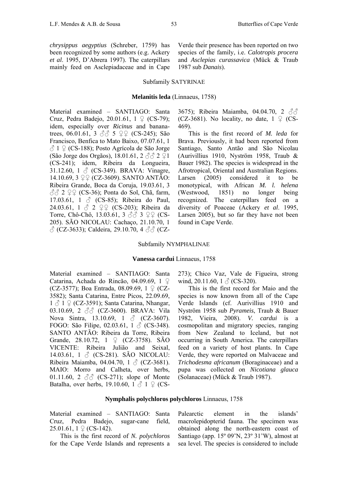#### Subfamily SATYRINAE

#### **Melanitis leda** (Linnaeus, 1758)

Material examined – SANTIAGO: Santa Cruz, Pedra Badejo, 20.01.61,  $1 \nsubseteq (CS-79)$ ; idem, especially over *Ricinus* and bananatrees, 06.01.61, 3  $\sqrt[3]{5}$  5  $\sqrt[3]{2}$  (CS-245); São Francisco, Benfica to Mato Baixo, 07.07.61, 1  $\Diamond$  1  $\Diamond$  (CS-188); Posto Agrícola de São Jorge (São Jorge dos Orgãos), 18.01.61, 2  $\Im$  2  $\Im$  2  $\Im$  1 (CS-241); idem, Ribeira da Longueira, 31.12.60, 1  $\&$  (CS-349). BRAVA: Vinagre, 14.10.69, 3 ♀♀ (CZ-3609). SANTO ANTÃO: Ribeira Grande, Boca da Coruja, 19.03.61, 3  $\partial_0$  $\partial_2$   $\partial_3$   $\partial_4$   $\partial_5$  (CS-36); Ponta do Sol, Chã, farm, 17.03.61, 1  $\circ$  (CS-85); Ribeira do Paul, 24.03.61, 1 ♂ 2 ♀♀ (CS-203); Ribeira da Torre, Chô-Chô, 13.03.61, 3 ♂♂ 3 ♀♀ (CS-205). SÃO NICOLAU: Cachaço, 21.10.70, 1  $\circled{C}$  (CZ-3633); Caldeira, 29.10.70, 4  $\circled{C}$  (CZ-

3675); Ribeira Maiamba, 04.04.70, 2 33 (CZ-3681). No locality, no date, 1 ♀ (CS-469).

This is the first record of *M. leda* for Brava. Previously, it had been reported from Santiago, Santo Antão and São Nicolau (Aurivillius 1910, Nyström 1958, Traub & Bauer 1982). The species is widespread in the Afrotropical, Oriental and Australian Regions. Larsen (2005) considered it to be monotypical, with African *M. l. helena* (Westwood, 1851) no longer being recognized. The caterpillars feed on a diversity of Poaceae (Ackery *et al*. 1995, Larsen 2005), but so far they have not been found in Cape Verde.

#### Subfamily NYMPHALINAE

#### **Vanessa cardui** Linnaeus, 1758

Material examined – SANTIAGO: Santa Catarina, Achada do Rincão, 04.09.69, 1 ♀ (CZ-3577); Boa Entrada, 08.09.69, 1 ♀ (CZ-3582); Santa Catarina, Entre Picos, 22.09.69,  $1 \text{ } \textcircled{1} \text{ } \textcircled{1}$  (CZ-3591); Santa Catarina, Nhangar, 03.10.69, 2 33 (CZ-3600). BRAVA: Vila Nova Sintra, 13.10.69, 1  $\delta$  (CZ-3607). FOGO: São Filipe, 02.03.61, 1  $\triangle$  (CS-348). SANTO ANTÃO: Ribeira da Torre, Ribeira Grande, 28.10.72, 1 ♀ (CZ-3758). SÃO VICENTE: Ribeira Julião and Seixal, 14.03.61, 1  $\&$  (CS-281). SÃO NICOLAU: Ribeira Maiamba, 04.04.70, 1  $\sqrt{3}$  (CZ-3681). MAIO: Morro and Calheta, over herbs, 01.11.60, 2  $\Im$  (CS-271); slope of Monte Batalha, over herbs, 19.10.60, 1  $\beta$  1  $\beta$  (CS-

273); Chico Vaz, Vale de Figueira, strong wind, 20.11.60, 1  $\delta$  (CS-320).

This is the first record for Maio and the species is now known from all of the Cape Verde Islands (cf. Aurivillius 1910 and Nyström 1958 sub *Pyrameis*, Traub & Bauer 1982, Vieira, 2008). *V. cardui* is a cosmopolitan and migratory species, ranging from New Zealand to Iceland, but not occurring in South America. The caterpillars feed on a variety of host plants. In Cape Verde, they were reported on Malvaceae and *Trichodesma africanum* (Boraginaceae) and a pupa was collected on *Nicotiana glauca* (Solanaceae) (Mück & Traub 1987).

#### **Nymphalis polychloros polychloros** Linnaeus, 1758

Material examined – SANTIAGO: Santa Cruz, Pedra Badejo, sugar-cane field, 25.01.61,  $1 \nsubseteq (CS-142)$ .

This is the first record of *N. polychloros* for the Cape Verde Islands and represents a

Palearctic element in the islands' macrolepidopterid fauna. The specimen was obtained along the north-eastern coast of Santiago (app. 15º 09'N, 23º 31'W), almost at sea level. The species is considered to include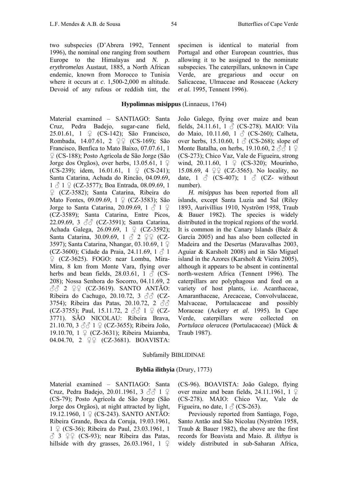two subspecies (D'Abrera 1992, Tennent 1996), the nominal one ranging from southern Europe to the Himalayas and *N. p. erythromelas* Austaut, 1885, a North African endemic, known from Morocco to Tunisia where it occurs at *c*. 1,500-2,000 m altitude. Devoid of any rufous or reddish tint, the

**Hypolimnas misippus** (Linnaeus, 1764)

Material examined – SANTIAGO: Santa Cruz, Pedra Badejo, sugar-cane field, 25.01.61, 1 ♀ (CS-142); São Francisco, Rombada, 14.07.61, 2 ♀♀ (CS-169); São Francisco, Benfica to Mato Baixo, 07.07.61, 1 ♀ (CS-188); Posto Agrícola de São Jorge (São Jorge dos Orgãos), over herbs, 13.05.61, 1 ♀ (CS-239); idem, 16.01.61, 1  $\varphi$  (CS-241); Santa Catarina, Achada do Rincão, 04.09.69,  $1 \text{ } \textcircled{} 1 \text{ } \textcircled{} 1$  (CZ-3577); Boa Entrada, 08.09.69, 1 ♀ (CZ-3582); Santa Catarina, Ribeira do Mato Fontes, 09.09.69, 1 ♀ (CZ-3583); São Jorge to Santa Catarina, 20.09.69, 1  $\circ$  1  $\circ$ (CZ-3589); Santa Catarina, Entre Picos, 22.09.69, 3 ♂♂ (CZ-3591); Santa Catarina, Achada Galega, 26.09.69, 1 ♀ (CZ-3592); Santa Catarina, 30.09.69, 1  $\&$  2  $\circ$  2 (CZ-3597); Santa Catarina, Nhangar, 03.10.69, 1 ♀ (CZ-3600); Cidade da Praia, 24.11.69, 1  $\delta$  1 ♀ (CZ-3625). FOGO: near Lomba, Mira-Mira, 8 km from Monte Vara, flying over herbs and bean fields, 28.03.61, 1  $\beta$  (CS-208); Nossa Senhora do Socorro, 04.11.69, 2  $\delta\delta$  2  $\varphi$  (CZ-3619). SANTO ANTÃO: Ribeira do Cachugo, 20.10.72, 3  $\partial \partial$  (CZ-3754); Ribeira das Patas, 20.10.72, 2 33 (CZ-3755); Paul, 15.11.72, 2  $\partial \partial$  1  $\partial$  (CZ-3771). SÃO NICOLAU: Ribeira Brava, 21.10.70, 3  $3\sqrt{3}$  1  $9$  (CZ-3655); Ribeira João, 19.10.70, 1 ♀ (CZ-3631); Ribeira Maiamba, 04.04.70, 2 ♀♀ (CZ-3681). BOAVISTA:

specimen is identical to material from Portugal and other European countries, thus allowing it to be assigned to the nominate subspecies. The caterpillars, unknown in Cape Verde, are gregarious and occur on Salicaceae, Ulmaceae and Rosaceae (Ackery *et al.* 1995, Tennent 1996).

João Galego, flying over maize and bean fields, 24.11.61, 1  $\Diamond$  (CS-278). MAIO: Vila do Maio, 10.11.60, 1 ♂ (CS-260); Calheta, over herbs, 15.10.60, 1  $\circ$  (CS-268); slope of Monte Batalha, on herbs, 19.10.60, 2  $\Diamond$   $\Diamond$  1  $\Diamond$ (CS-273); Chico Vaz, Vale de Figueira, strong wind, 20.11.60, 1 ♀ (CS-320); Mourinho, 15.08.69, 4  $\mathcal{Q} \mathcal{Q}$  (CZ-3565). No locality, no date,  $1 \text{ } \textcircled{}$  (CS-407);  $1 \text{ } \textcircled{}$  (CZ- without number).

*H. misippus* has been reported from all islands, except Santa Luzia and Sal (Riley 1893, Aurivillius 1910, Nyström 1958, Traub & Bauer 1982). The species is widely distributed in the tropical regions of the world. It is common in the Canary Islands (Baéz & García 2005) and has also been collected in Madeira and the Desertas (Maravalhas 2003, Aguiar & Karsholt 2008) and in São Miguel island in the Azores (Karsholt & Vieira 2005), although it appears to be absent in continental north-western Africa (Tennent 1996). The caterpillars are polyphagous and feed on a variety of host plants, i.e. Acanthaceae, Amaranthaceae, Arecaceae, Convolvulaceae, Malvaceae, Portulacaceae and possibly Moraceae (Ackery *et al*. 1995). In Cape Verde, caterpillars were collected on *Portulaca oleracea* (Portulacaceae) (Mück & Traub 1987).

#### Subfamily BIBLIDINAE

### **Byblia ilithyia** (Drury, 1773)

Material examined – SANTIAGO: Santa Cruz, Pedra Badejo, 20.01.1961, 3 ♂♂ 1 ♀ (CS-79); Posto Agrícola de São Jorge (São Jorge dos Orgãos), at night attracted by light, 19.12.1960, 1 ♀ (CS-243). SANTO ANTÃO: Ribeira Grande, Boca da Coruja, 19.03.1961, 1 ♀ (CS-36); Ribeira do Paul, 23.03.1961, 1  $\triangle$  3  $\angle$   $\angle$  (CS-93); near Ribeira das Patas, hillside with dry grasses, 26.03.1961, 1 ♀ (CS-96). BOAVISTA: João Galego, flying over maize and bean fields, 24.11.1961, 1 ♀ (CS-278). MAIO: Chico Vaz, Vale de Figueira, no date,  $1 \land$  (CS-263).

Previously reported from Santiago, Fogo, Santo Antão and São Nicolau (Nyström 1958, Traub & Bauer 1982), the above are the first records for Boavista and Maio. *B. ilithya* is widely distributed in sub-Saharan Africa,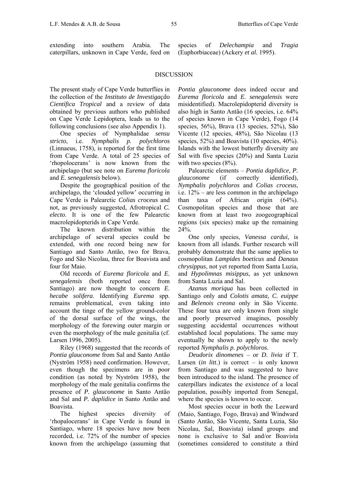extending into southern Arabia. The caterpillars, unknown in Cape Verde, feed on species of *Delechampia* and *Tragia* (Euphorbiaceae) (Ackery *et al.* 1995).

# **DISCUSSION**

The present study of Cape Verde butterflies in the collection of the *Instituto de Investigação Científica Tropical* and a review of data obtained by previous authors who published on Cape Verde Lepidoptera, leads us to the following conclusions (see also Appendix 1).

One species of Nymphalidae *sensu stricto*, i.e. *Nymphalis p. polychloros* (Linnaeus, 1758), is reported for the first time from Cape Verde. A total of 25 species of 'rhopolocerans' is now known from the archipelago (but see note on *Eurema floricola*  and *E. senegalensis* below).

Despite the geographical position of the archipelago, the 'clouded yellow' occurring in Cape Verde is Palearctic *Colias croceus* and not, as previously suggested, Afrotropical *C. electo*. It is one of the few Palearctic macrolepidopterids in Cape Verde.

The known distribution within the archipelago of several species could be extended, with one record being new for Santiago and Santo Antão, two for Brava, Fogo and São Nicolau, three for Boavista and four for Maio.

Old records of *Eurema floricola* and *E. senegalensis* (both reported once from Santiago) are now thought to concern *E. hecabe solifera*. Identifying *Eurema* spp. remains problematical, even taking into account the tinge of the yellow ground-color of the dorsal surface of the wings, the morphology of the forewing outer margin or even the morphology of the male genitalia (cf. Larsen 1996, 2005).

Riley (1968) suggested that the records of *Pontia glauconome* from Sal and Santo Antão (Nyström 1958) need confirmation. However, even though the specimens are in poor condition (as noted by Nyström 1958), the morphology of the male genitalia confirms the presence of *P. glauconome* in Santo Antão and Sal and *P. daplidice* in Santo Antão and Boavista.

The highest species diversity of 'rhopalocerans' in Cape Verde is found in Santiago, where 18 species have now been recorded, i.e. 72% of the number of species known from the archipelago (assuming that

*Pontia glauconome* does indeed occur and *Eurema floricola* and *E. senegalensis* were misidentified). Macrolepidopterid diversity is also high in Santo Antão (16 species, i.e. 64% of species known in Cape Verde), Fogo (14 species, 56%), Brava (13 species, 52%), São Vicente (12 species, 48%), São Nicolau (13 species, 52%) and Boavista (10 species, 40%). Islands with the lowest butterfly diversity are Sal with five species (20%) and Santa Luzia with two species  $(8\%)$ .

Palearctic elements – *Pontia daplidice*, *P. glauconome* (if correctly identified), *Nymphalis polychloros* and *Colias croceus*, i.e. 12% – are less common in the archipelago than taxa of African origin (64%). Cosmopolitan species and those that are known from at least two zoogeographical regions (six species) make up the remaining 24%.

One only species, *Vanessa cardui*, is known from all islands. Further research will probably demonstrate that the same applies to cosmopolitan *Lampides boeticus* and *Danaus chrysippus*, not yet reported from Santa Luzia, and *Hypolimnas misippus*, as yet unknown from Santa Luzia and Sal.

*Azanus moriqua* has been collected in Santiago only and *Colotis amata, C. euippe* and *Belenois creona* only in São Vicente. These four taxa are only known from single and poorly preserved imagines, possibly suggesting accidental occurrences without established local populations. The same may eventually be shown to apply to the newly reported *Nymphalis p. polychloros*.

*Deudorix dinomenes* – or *D. livia* if T. Larsen (*in litt*.) is correct – is only known from Santiago and was suggested to have been introduced to the island. The presence of caterpillars indicates the existence of a local population, possibly imported from Senegal, where the species is known to occur.

Most species occur in both the Leeward (Maio, Santiago, Fogo, Brava) and Windward (Santo Antão, São Vicente, Santa Luzia, São Nicolau, Sal, Boavista) island groups and none is exclusive to Sal and/or Boavista (sometimes considered to constitute a third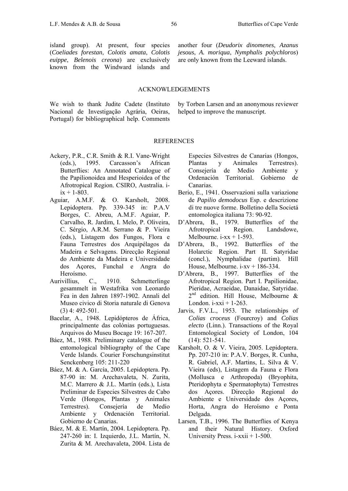island group). At present, four species (*Coeliades forestan*, *Colotis amata*, *Colotis euippe*, *Belenois creona*) are exclusively known from the Windward islands and

another four (*Deudorix dinomenes*, *Azanus jesous*, *A. moriqua*, *Nymphalis polychloros*) are only known from the Leeward islands.

#### ACKNOWLEDGEMENTS

We wish to thank Judite Cadete (Instituto Nacional de Investigação Agrária, Oeiras, Portugal) for bibliographical help. Comments

by Torben Larsen and an anonymous reviewer helped to improve the manuscript.

#### **REFERENCES**

- Ackery, P.R., C.R. Smith & R.I. Vane-Wright (eds.), 1995. Carcasson's African Butterflies: An Annotated Catalogue of the Papilionoidea and Hesperioidea of the Afrotropical Region. CSIRO, Australia. i $ix + 1 - 803$ .
- Aguiar, A.M.F. & O. Karsholt, 2008. Lepidoptera. Pp. 339-345 in: P.A.V Borges, C. Abreu, A.M.F. Aguiar, P. Carvalho, R. Jardim, I. Melo, P. Oliveira, C. Sérgio, A.R.M. Serrano & P. Vieira (eds*.*), Listagem dos Fungos, Flora e Fauna Terrestres dos Arquipélagos da Madeira e Selvagens. Direcção Regional do Ambiente da Madeira e Universidade dos Açores, Funchal e Angra do Heroísmo.
- Aurivillius, C., 1910. Schmetterlinge gesammelt in Westafrika von Leonardo Fea in den Jahren 1897-1902. Annali del Museo civico di Storia naturale di Genova  $(3)$  4: 492-501
- Bacelar, A., 1948. Lepidópteros de África, principalmente das colónias portuguesas. Arquivos do Museu Bocage 19: 167-207.
- Báez, M., 1988. Preliminary catalogue of the entomological bibliography of the Cape Verde Islands. Courier Forschungsinstitut Senckenberg 105: 211-220
- Báez, M. & A. García, 2005. Lepidoptera. Pp. 87-90 in: M. Arechavaleta, N. Zurita, M.C. Marrero & J.L. Martín (eds.), Lista Preliminar de Especies Silvestres de Cabo Verde (Hongos, Plantas y Animales Terrestres). Consejería de Medio Ambiente y Ordenación Territorial. Gobierno de Canarias.
- Báez, M. & E. Martín, 2004. Lepidoptera. Pp. 247-260 in: I. Izquierdo, J.L. Martín, N. Zurita & M. Arechavaleta, 2004. Lista de

Especies Silvestres de Canarias (Hongos, Plantas y Animales Terrestres). Consejería de Medio Ambiente y Ordenación Territorial. Gobierno de Canarias.

- Berio, E., 1941. Osservazioni sulla variazione de *Papilio demodocus* Esp. e descrizione di tre nuove forme. Bolletino della Societá entomologica italiana 73: 90-92.
- D'Abrera, B., 1979. Butterflies of the Afrotropical Region. Landsdowe, Melbourne.  $i$ -xx + 1-593.
- D'Abrera, B., 1992. Butterflies of the Holarctic Region. Part II. Satyridae (concl.), Nymphalidae (partim). Hill House, Melbourne.  $i$ -xv + 186-334.
- D'Abrera, B., 1997. Butterflies of the Afrotropical Region. Part I. Papilionidae, Pieridae, Acraeidae, Danaidae, Satyridae. 2<sup>nd</sup> edition. Hill House, Melbourne & London.  $i$ -xx $i$  + 1-263.
- Jarvis, F.V.L., 1953. The relationships of *Colias croceus* (Fourcroy) and *Colias electo* (Linn.). Transactions of the Royal Entomological Society of London, 104 (14): 521-541.
- Karsholt, O. & V. Vieira, 2005. Lepidoptera. Pp. 207-210 in: P.A.V. Borges, R. Cunha, R. Gabriel, A.F. Martins, L. Silva & V. Vieira (eds), Listagem da Fauna e Flora (Mollusca e Arthropoda) (Bryophita, Pteridophyta e Spermatophyta) Terrestres dos Açores. Direcção Regional do Ambiente e Universidade dos Acores. Horta, Angra do Heroísmo e Ponta Delgada.
- Larsen, T.B., 1996. The Butterflies of Kenya and their Natural History. Oxford University Press. i-xxii + 1-500.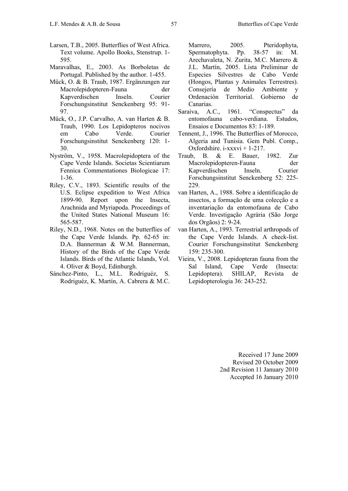- Larsen, T.B., 2005. Butterflies of West Africa. Text volume. Apollo Books, Stenstrup. 1- 595.
- Maravalhas, E., 2003. As Borboletas de Portugal. Published by the author. 1-455.
- Mück, O. & B. Traub, 1987. Ergänzungen zur Macrolepidopteren-Fauna der Kapverdischen Inseln. Courier Forschungsinstitut Senckenberg 95: 91- 97.
- Mück, O., J.P. Carvalho, A. van Harten & B. Traub, 1990. Los Lepidopteros nocivos em Cabo Verde. Courier Forschungsinstitut Senckenberg 120: 1- 30.
- Nyström, V., 1958. Macrolepidoptera of the Cape Verde Islands. Societas Scientiarum Fennica Commentationes Biologicae 17: 1-36.
- Riley, C.V., 1893. Scientific results of the U.S. Eclipse expedition to West Africa 1899-90. Report upon the Insecta, Arachnida and Myriapoda. Proceedings of the United States National Museum 16: 565-587.
- Riley, N.D., 1968. Notes on the butterflies of the Cape Verde Islands. Pp. 62-65 in: D.A. Bannerman & W.M. Bannerman, History of the Birds of the Cape Verde Islands. Birds of the Atlantic Islands, Vol. 4. Oliver & Boyd, Edinburgh.
- Sánchez-Pinto, L., M.L. Rodriguéz, S. Rodriguéz, K. Martín, A. Cabrera & M.C.

Marrero, 2005. Pteridophyta, Spermatophyta. Pp. 38-57 in: M. Arechavaleta, N. Zurita, M.C. Marrero & J.L. Martín, 2005. Lista Preliminar de Especies Silvestres de Cabo Verde (Hongos, Plantas y Animales Terrestres). Consejería de Medio Ambiente y Ordenación Territorial. Gobierno de Canarias.

- Saraiva, A.C., 1961. "Conspectus" da entomofauna cabo-verdiana. Estudos, Ensaios e Documentos 83: 1-189.
- Tennent, J., 1996. The Butterflies of Morocco, Algeria and Tunisia. Gem Publ. Comp., Oxfordshire. i-xxxvi + 1-217.
- Traub, B. & E. Bauer, 1982. Zur Macrolepidopteren-Fauna der Kapverdischen Inseln. Courier Forschungsinstitut Senckenberg 52: 225- 229.
- van Harten, A., 1988. Sobre a identificação de insectos, a formação de uma colecção e a inventariação da entomofauna de Cabo Verde. Investigação Agrária (São Jorge dos Orgãos) 2: 9-24.
- van Harten, A., 1993. Terrestrial arthropods of the Cape Verde Islands. A check-list. Courier Forschungsinstitut Senckenberg 159: 235-300.
- Vieira, V., 2008. Lepidopteran fauna from the Sal Island, Cape Verde (Insecta: Lepidoptera). SHILAP, Revista de Lepidopterologia 36: 243-252.

Received 17 June 2009 Revised 20 October 2009 2nd Revision 11 January 2010 Accepted 16 January 2010